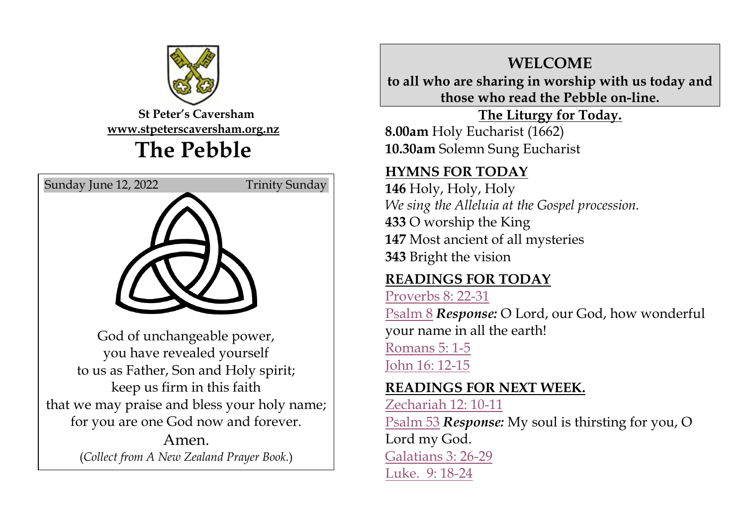

**St Peter's Caversham [www.stpeterscaversham.org.nz](http://www.stpeterscaversham.org.nz/)**

## **The Pebble**



**WELCOME to all who are sharing in worship with us today and those who read the Pebble on-line.**

**The Liturgy for Today. 8.00am** Holy Eucharist (1662) **10.30am** Solemn Sung Eucharist

#### **HYMNS FOR TODAY**

 Holy, Holy, Holy *We sing the Alleluia at the Gospel procession.* O worship the King Most ancient of all mysteries Bright the vision

#### **READINGS FOR TODAY**

[Proverbs 8: 22-31](http://www.biblegateway.com/passage/index.php?search=Proverbs%208:%2022-31;&version=9;&interface=print)

[Psalm 8](http://www.biblegateway.com/passage/index.php?search=Psalm%208;&version=9;&interface=print) *Response:* O Lord, our God, how wonderful your name in all the earth!

[Romans 5: 1-5](http://www.biblegateway.com/passage/index.php?search=Romans%205:%201-5;&version=9;&interface=print)

[John 16: 12-15](http://www.biblegateway.com/passage/index.php?search=John%2016:%2012-15;&version=9;&interface=print)

#### **READINGS FOR NEXT WEEK.**

[Zechariah 12: 10-11](http://www.biblegateway.com/passage/index.php?search=Zechariah%2012:%2010-11;&version=9;&interface=print) [Psalm 53](http://www.biblegateway.com/passage/index.php?search=Psalm%2053;&version=9;&interface=print) *Response:* My soul is thirsting for you, O Lord my God. [Galatians 3: 26-29](http://www.biblegateway.com/passage/index.php?search=Galatians%203:%2026-29;&version=9;&interface=print) [Luke. 9: 18-24](http://www.biblegateway.com/passage/index.php?search=Luke.%20%209:%2018-24;&version=9;&interface=print)